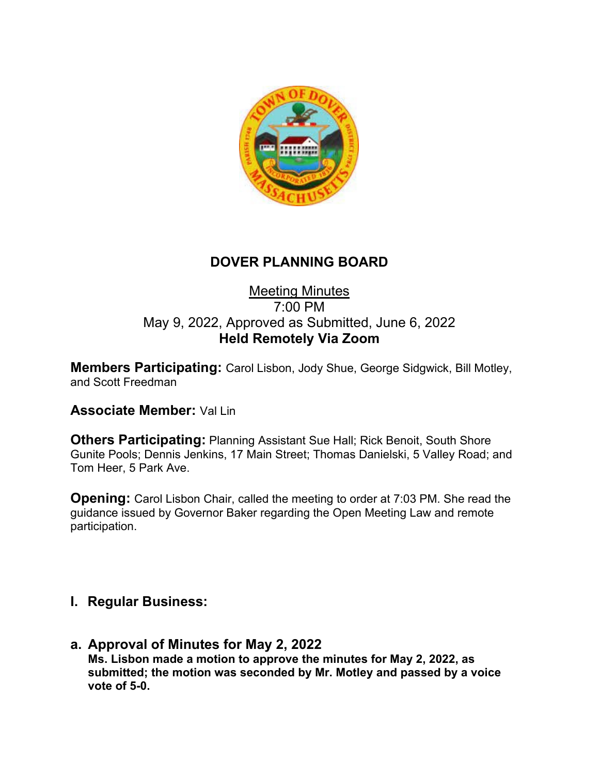

# **DOVER PLANNING BOARD**

## Meeting Minutes 7:00 PM May 9, 2022, Approved as Submitted, June 6, 2022 **Held Remotely Via Zoom**

**Members Participating:** Carol Lisbon, Jody Shue, George Sidgwick, Bill Motley, and Scott Freedman

## **Associate Member:** Val Lin

**Others Participating:** Planning Assistant Sue Hall; Rick Benoit, South Shore Gunite Pools; Dennis Jenkins, 17 Main Street; Thomas Danielski, 5 Valley Road; and Tom Heer, 5 Park Ave.

**Opening:** Carol Lisbon Chair, called the meeting to order at 7:03 PM. She read the guidance issued by Governor Baker regarding the Open Meeting Law and remote participation.

## **I. Regular Business:**

**a. Approval of Minutes for May 2, 2022 Ms. Lisbon made a motion to approve the minutes for May 2, 2022, as submitted; the motion was seconded by Mr. Motley and passed by a voice vote of 5-0.**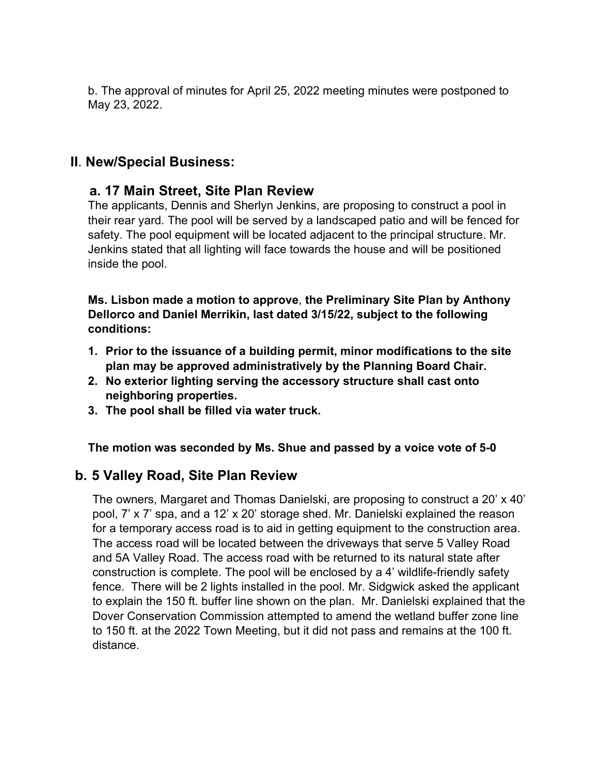b. The approval of minutes for April 25, 2022 meeting minutes were postponed to May 23, 2022.

## **II**. **New/Special Business:**

#### **a. 17 Main Street, Site Plan Review**

The applicants, Dennis and Sherlyn Jenkins, are proposing to construct a pool in their rear yard. The pool will be served by a landscaped patio and will be fenced for safety. The pool equipment will be located adjacent to the principal structure. Mr. Jenkins stated that all lighting will face towards the house and will be positioned inside the pool.

**Ms. Lisbon made a motion to approve**, **the Preliminary Site Plan by Anthony Dellorco and Daniel Merrikin, last dated 3/15/22, subject to the following conditions:**

- **1. Prior to the issuance of a building permit, minor modifications to the site plan may be approved administratively by the Planning Board Chair.**
- **2. No exterior lighting serving the accessory structure shall cast onto neighboring properties.**
- **3. The pool shall be filled via water truck.**

**The motion was seconded by Ms. Shue and passed by a voice vote of 5-0**

## **b. 5 Valley Road, Site Plan Review**

The owners, Margaret and Thomas Danielski, are proposing to construct a 20' x 40' pool, 7' x 7' spa, and a 12' x 20' storage shed. Mr. Danielski explained the reason for a temporary access road is to aid in getting equipment to the construction area. The access road will be located between the driveways that serve 5 Valley Road and 5A Valley Road. The access road with be returned to its natural state after construction is complete. The pool will be enclosed by a 4' wildlife-friendly safety fence. There will be 2 lights installed in the pool. Mr. Sidgwick asked the applicant to explain the 150 ft. buffer line shown on the plan. Mr. Danielski explained that the Dover Conservation Commission attempted to amend the wetland buffer zone line to 150 ft. at the 2022 Town Meeting, but it did not pass and remains at the 100 ft. distance.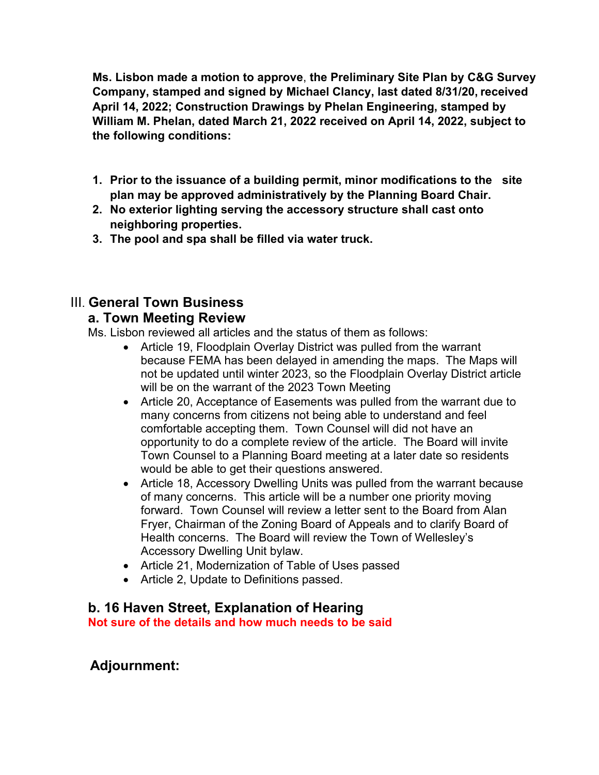**Ms. Lisbon made a motion to approve**, **the Preliminary Site Plan by C&G Survey Company, stamped and signed by Michael Clancy, last dated 8/31/20, received April 14, 2022; Construction Drawings by Phelan Engineering, stamped by William M. Phelan, dated March 21, 2022 received on April 14, 2022, subject to the following conditions:**

- **1. Prior to the issuance of a building permit, minor modifications to the site plan may be approved administratively by the Planning Board Chair.**
- **2. No exterior lighting serving the accessory structure shall cast onto neighboring properties.**
- **3. The pool and spa shall be filled via water truck.**

## III. **General Town Business**

#### **a. Town Meeting Review**

Ms. Lisbon reviewed all articles and the status of them as follows:

- Article 19, Floodplain Overlay District was pulled from the warrant because FEMA has been delayed in amending the maps. The Maps will not be updated until winter 2023, so the Floodplain Overlay District article will be on the warrant of the 2023 Town Meeting
- Article 20, Acceptance of Easements was pulled from the warrant due to many concerns from citizens not being able to understand and feel comfortable accepting them. Town Counsel will did not have an opportunity to do a complete review of the article. The Board will invite Town Counsel to a Planning Board meeting at a later date so residents would be able to get their questions answered.
- Article 18, Accessory Dwelling Units was pulled from the warrant because of many concerns. This article will be a number one priority moving forward. Town Counsel will review a letter sent to the Board from Alan Fryer, Chairman of the Zoning Board of Appeals and to clarify Board of Health concerns. The Board will review the Town of Wellesley's Accessory Dwelling Unit bylaw.
- Article 21, Modernization of Table of Uses passed
- Article 2, Update to Definitions passed.

## **b. 16 Haven Street, Explanation of Hearing**

**Not sure of the details and how much needs to be said**

## **Adjournment:**